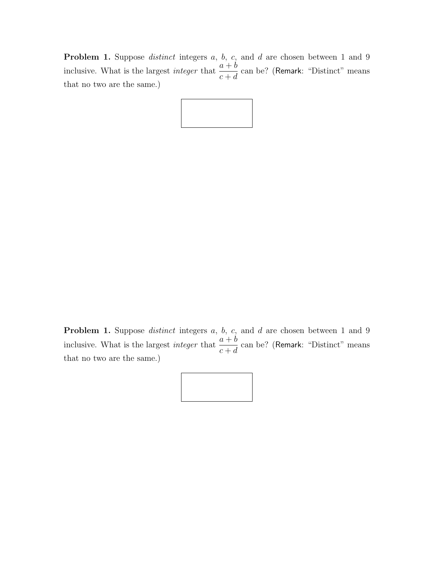**Problem 1.** Suppose *distinct* integers  $a, b, c$ , and  $d$  are chosen between 1 and 9 inclusive. What is the largest *integer* that  $\frac{a+b}{a}$  $c + d$ can be? (Remark: "Distinct" means that no two are the same.)



**Problem 1.** Suppose *distinct* integers a, b, c, and d are chosen between 1 and 9 inclusive. What is the largest *integer* that  $\frac{a+b}{a}$  $c + d$ can be? (Remark: "Distinct" means that no two are the same.)

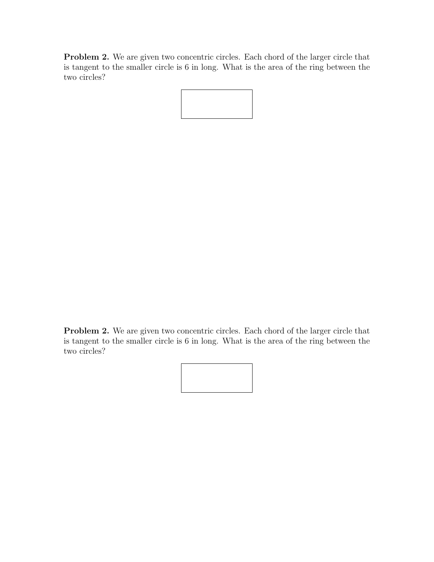Problem 2. We are given two concentric circles. Each chord of the larger circle that is tangent to the smaller circle is 6 in long. What is the area of the ring between the two circles?

Problem 2. We are given two concentric circles. Each chord of the larger circle that is tangent to the smaller circle is 6 in long. What is the area of the ring between the two circles?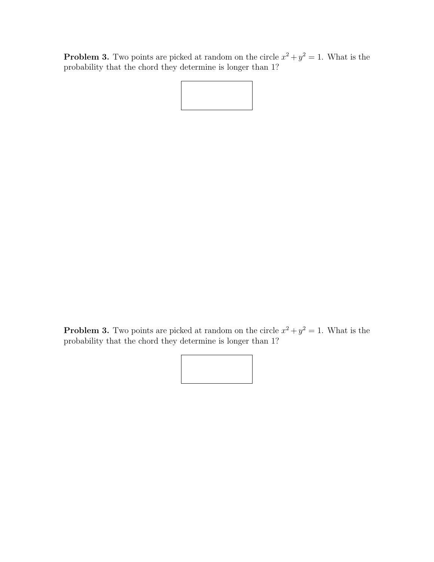**Problem 3.** Two points are picked at random on the circle  $x^2 + y^2 = 1$ . What is the probability that the chord they determine is longer than 1?

**Problem 3.** Two points are picked at random on the circle  $x^2 + y^2 = 1$ . What is the probability that the chord they determine is longer than 1?

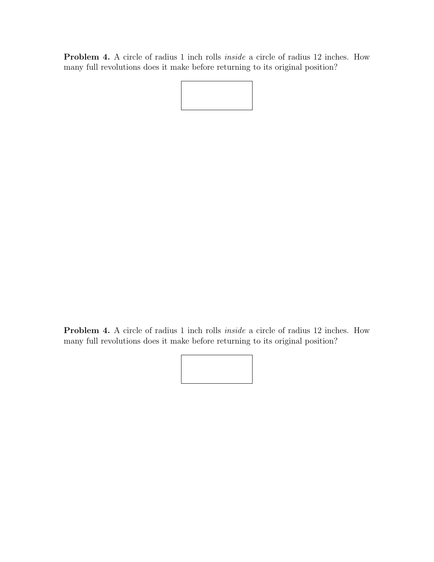Problem 4. A circle of radius 1 inch rolls inside a circle of radius 12 inches. How many full revolutions does it make before returning to its original position?

Problem 4. A circle of radius 1 inch rolls inside a circle of radius 12 inches. How many full revolutions does it make before returning to its original position?

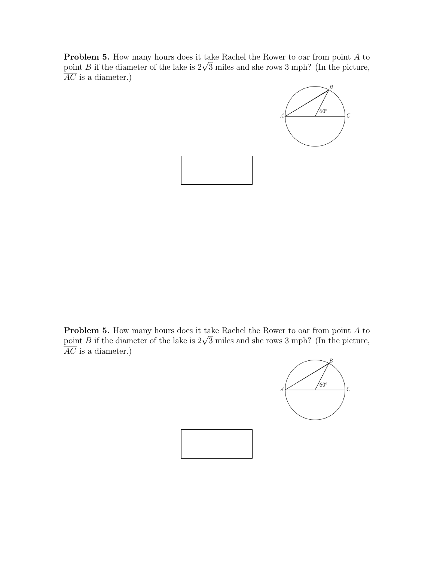Problem 5. How many hours does it take Rachel the Rower to oar from point A to **Problem 5.** How many nours does it take Rachel the Rower to oar from point A to point B if the diameter of the lake is  $2\sqrt{3}$  miles and she rows 3 mph? (In the picture,  $\overline{AC}$  is a diameter.)





Problem 5. How many hours does it take Rachel the Rower to oar from point A to **Problem 5.** How many nours does it take Kachel the Kower to oar from point A to point B if the diameter of the lake is  $2\sqrt{3}$  miles and she rows 3 mph? (In the picture,  $\overline{AC}$  is a diameter.)



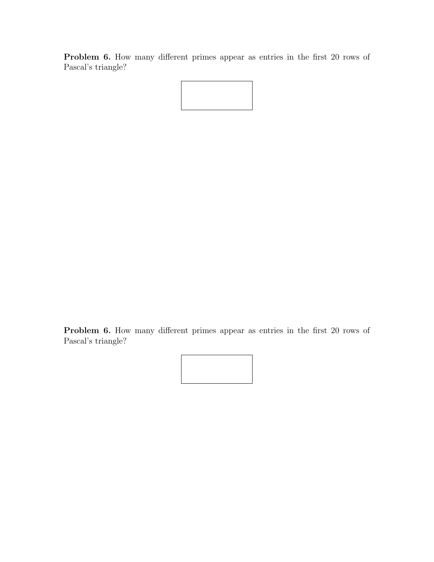Problem 6. How many different primes appear as entries in the first 20 rows of Pascal's triangle?

Problem 6. How many different primes appear as entries in the first 20 rows of Pascal's triangle?

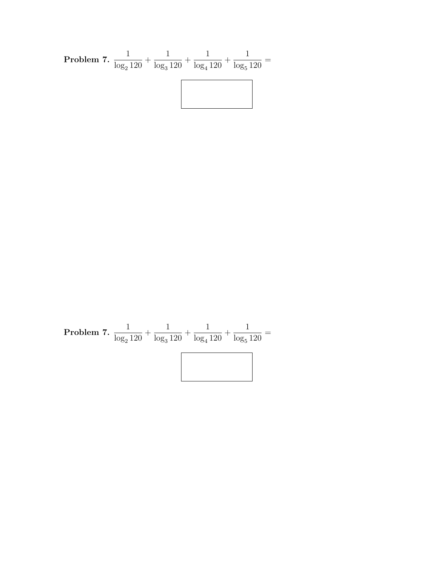Problem 7. 
$$
\frac{1}{\log_2 120} + \frac{1}{\log_3 120} + \frac{1}{\log_4 120} + \frac{1}{\log_5 120} =
$$

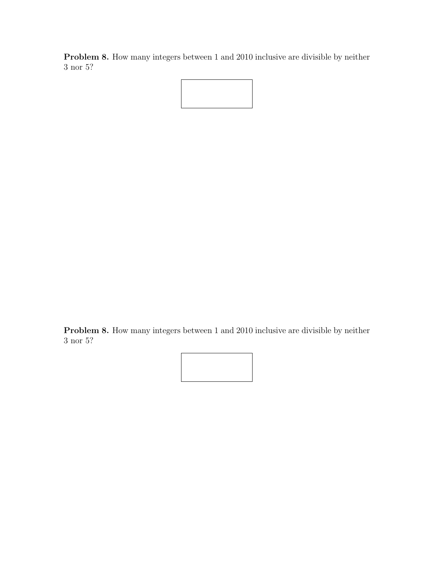Problem 8. How many integers between 1 and 2010 inclusive are divisible by neither 3 nor 5?



Problem 8. How many integers between 1 and 2010 inclusive are divisible by neither 3 nor 5?

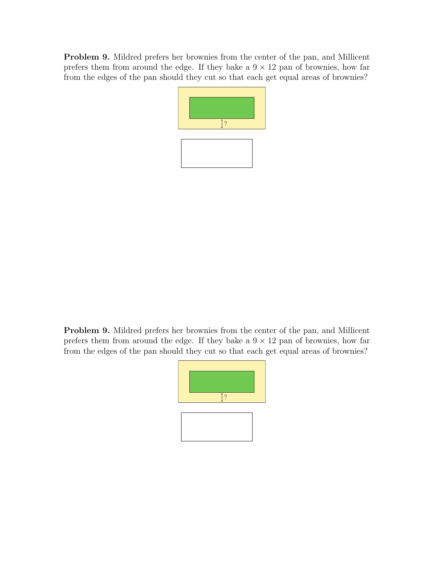Problem 9. Mildred prefers her brownies from the center of the pan, and Millicent prefers them from around the edge. If they bake a  $9 \times 12$  pan of brownies, how far from the edges of the pan should they cut so that each get equal areas of brownies?



Problem 9. Mildred prefers her brownies from the center of the pan, and Millicent prefers them from around the edge. If they bake a  $9 \times 12$  pan of brownies, how far from the edges of the pan should they cut so that each get equal areas of brownies?